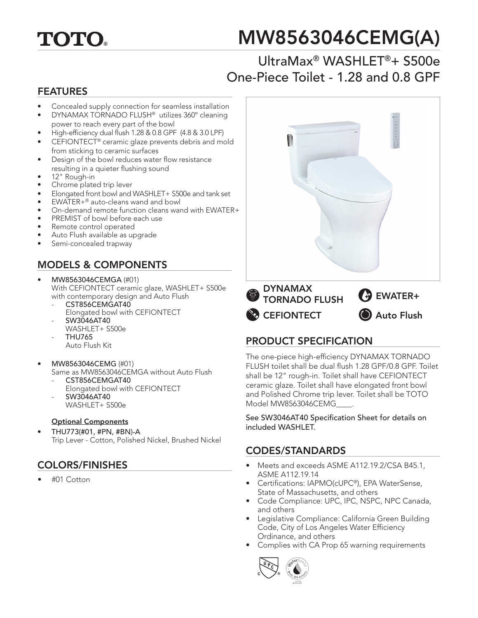

# MW8563046CEMG(A)

## UltraMax® WASHLET®+ S500e One-Piece Toilet - 1.28 and 0.8 GPF

#### FEATURES

- Concealed supply connection for seamless installation
- DYNAMAX TORNADO FLUSH® utilizes 360º cleaning power to reach every part of the bowl
- High-efficiency dual flush 1.28 & 0.8 GPF (4.8 & 3.0 LPF)
- CEFIONTECT<sup>®</sup> ceramic glaze prevents debris and mold from sticking to ceramic surfaces
- Design of the bowl reduces water flow resistance resulting in a quieter flushing sound
- 12" Rough-in
- Chrome plated trip lever
- Elongated front bowl and WASHLET+ S500e and tank set
- EWATER+® auto-cleans wand and bowl
- On-demand remote function cleans wand with EWATER+
- PREMIST of bowl before each use
- Remote control operated
- Auto Flush available as upgrade
- Semi-concealed trapway

### MODELS & COMPONENTS

- MW8563046CEMGA (#01) With CEFIONTECT ceramic glaze, WASHLET+ S500e with contemporary design and Auto Flush
	- CST856CEMGAT40 Elongated bowl with CEFIONTECT
	- SW3046AT40 WASHLET+ S500e
	- THU765
		- Auto Flush Kit
- MW8563046CEMG (#01)
	- Same as MW8563046CEMGA without Auto Flush CST856CEMGAT40
		- Elongated bowl with CEFIONTECT - SW3046AT40
		- WASHLET+ S500e

#### Optional Components

• THU773(#01, #PN, #BN)-A Trip Lever - Cotton, Polished Nickel, Brushed Nickel

#### COLORS/FINISHES

• #01 Cotton



#### PRODUCT SPECIFICATION

The one-piece high-efficiency DYNAMAX TORNADO FLUSH toilet shall be dual flush 1.28 GPF/0.8 GPF. Toilet shall be 12" rough-in. Toilet shall have CEFIONTECT ceramic glaze. Toilet shall have elongated front bowl and Polished Chrome trip lever. Toilet shall be TOTO Model MW8563046CEMG\_\_\_\_.

See SW3046AT40 Specification Sheet for details on included WASHLET.

#### CODES/STANDARDS

- Meets and exceeds ASME A112.19.2/CSA B45.1, ASME A112.19.14
- Certifications: IAPMO(cUPC®), EPA WaterSense, State of Massachusetts, and others
- Code Compliance: UPC, IPC, NSPC, NPC Canada, and others
- Legislative Compliance: California Green Building Code, City of Los Angeles Water Efficiency Ordinance, and others
- Complies with CA Prop 65 warning requirements